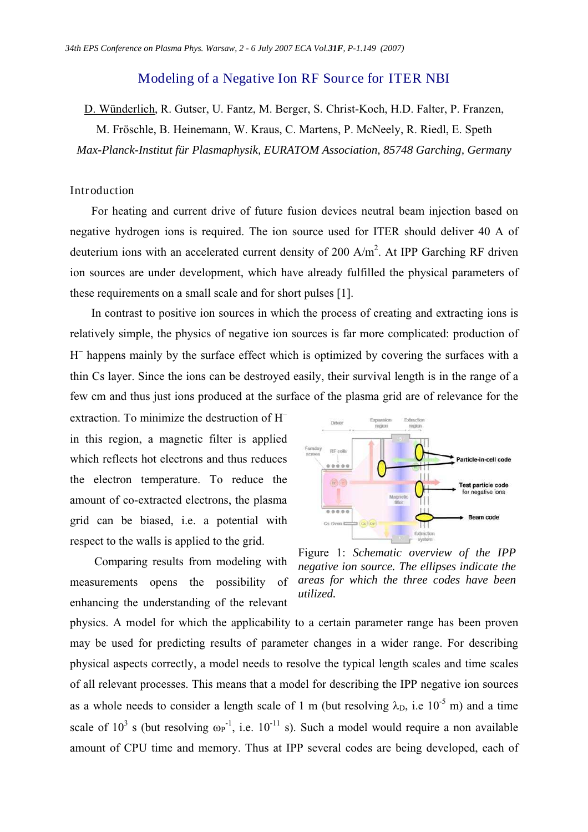# Modeling of a Negative Ion RF Source for ITER NBI

D. Wünderlich, R. Gutser, U. Fantz, M. Berger, S. Christ-Koch, H.D. Falter, P. Franzen,

M. Fröschle, B. Heinemann, W. Kraus, C. Martens, P. McNeely, R. Riedl, E. Speth *Max-Planck-Institut für Plasmaphysik, EURATOM Association, 85748 Garching, Germany* 

### Introduction

For heating and current drive of future fusion devices neutral beam injection based on negative hydrogen ions is required. The ion source used for ITER should deliver 40 A of deuterium ions with an accelerated current density of 200  $A/m^2$ . At IPP Garching RF driven ion sources are under development, which have already fulfilled the physical parameters of these requirements on a small scale and for short pulses [1].

In contrast to positive ion sources in which the process of creating and extracting ions is relatively simple, the physics of negative ion sources is far more complicated: production of H<sup>-</sup> happens mainly by the surface effect which is optimized by covering the surfaces with a thin Cs layer. Since the ions can be destroyed easily, their survival length is in the range of a few cm and thus just ions produced at the surface of the plasma grid are of relevance for the

extraction. To minimize the destruction of  $H^$ in this region, a magnetic filter is applied which reflects hot electrons and thus reduces the electron temperature. To reduce the amount of co-extracted electrons, the plasma grid can be biased, i.e. a potential with respect to the walls is applied to the grid.

 Comparing results from modeling with measurements opens the possibility of enhancing the understanding of the relevant



Figure 1: *Schematic overview of the IPP negative ion source. The ellipses indicate the areas for which the three codes have been utilized.* 

physics. A model for which the applicability to a certain parameter range has been proven may be used for predicting results of parameter changes in a wider range. For describing physical aspects correctly, a model needs to resolve the typical length scales and time scales of all relevant processes. This means that a model for describing the IPP negative ion sources as a whole needs to consider a length scale of 1 m (but resolving  $\lambda_D$ , i.e 10<sup>-5</sup> m) and a time scale of  $10^3$  s (but resolving  $\omega_P^{-1}$ , i.e.  $10^{-11}$  s). Such a model would require a non available amount of CPU time and memory. Thus at IPP several codes are being developed, each of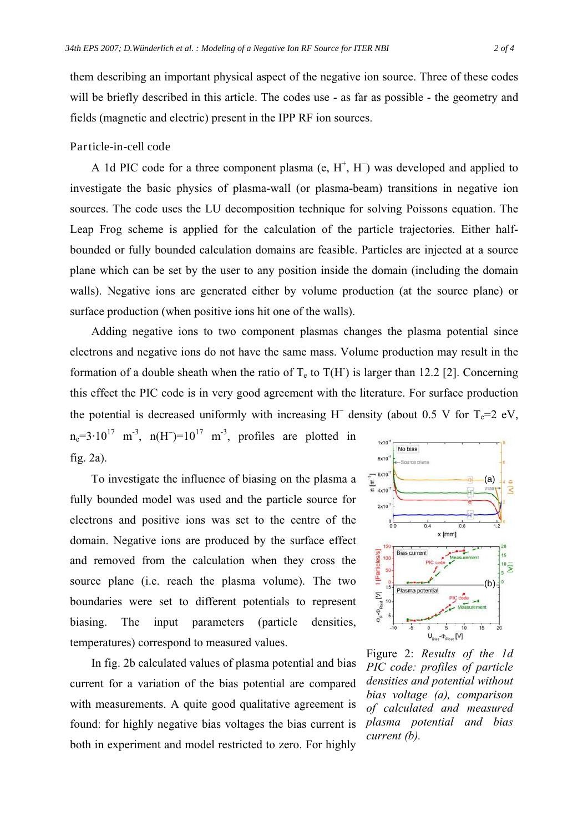them describing an important physical aspect of the negative ion source. Three of these codes will be briefly described in this article. The codes use - as far as possible - the geometry and fields (magnetic and electric) present in the IPP RF ion sources.

# Particle-in-cell code

A 1d PIC code for a three component plasma (e,  $H^+$ , H<sup>-</sup>) was developed and applied to investigate the basic physics of plasma-wall (or plasma-beam) transitions in negative ion sources. The code uses the LU decomposition technique for solving Poissons equation. The Leap Frog scheme is applied for the calculation of the particle trajectories. Either halfbounded or fully bounded calculation domains are feasible. Particles are injected at a source plane which can be set by the user to any position inside the domain (including the domain walls). Negative ions are generated either by volume production (at the source plane) or surface production (when positive ions hit one of the walls).

Adding negative ions to two component plasmas changes the plasma potential since electrons and negative ions do not have the same mass. Volume production may result in the formation of a double sheath when the ratio of  $T_e$  to  $T(H)$  is larger than 12.2 [2]. Concerning this effect the PIC code is in very good agreement with the literature. For surface production the potential is decreased uniformly with increasing H<sup>-</sup> density (about 0.5 V for  $T_e=2$  eV,

 $n_e=3.10^{17}$  m<sup>-3</sup>, n(H<sup>-</sup>)=10<sup>17</sup> m<sup>-3</sup>, profiles are plotted in fig. 2a).

To investigate the influence of biasing on the plasma a fully bounded model was used and the particle source for electrons and positive ions was set to the centre of the domain. Negative ions are produced by the surface effect and removed from the calculation when they cross the source plane (i.e. reach the plasma volume). The two boundaries were set to different potentials to represent biasing. The input parameters (particle densities, temperatures) correspond to measured values.

In fig. 2b calculated values of plasma potential and bias current for a variation of the bias potential are compared with measurements. A quite good qualitative agreement is found: for highly negative bias voltages the bias current is both in experiment and model restricted to zero. For highly



Figure 2: *Results of the 1d PIC code: profiles of particle densities and potential without bias voltage (a), comparison of calculated and measured plasma potential and bias current (b).*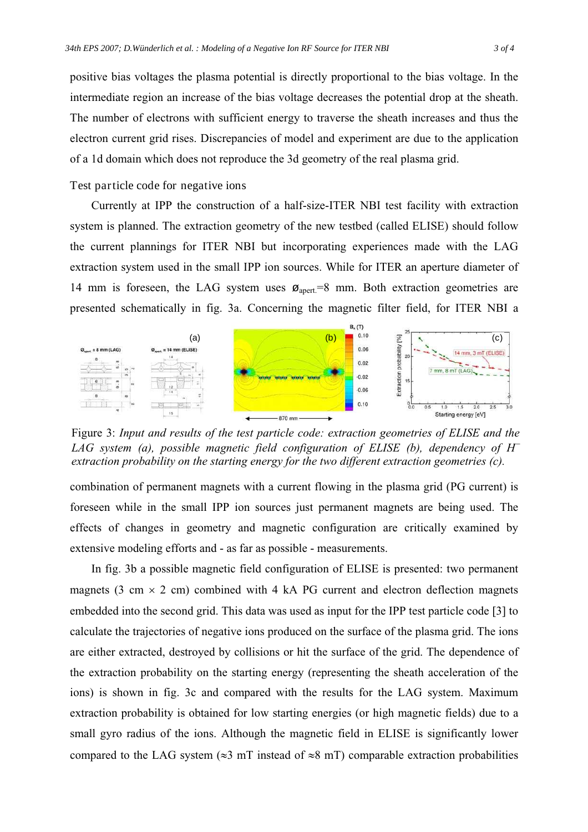positive bias voltages the plasma potential is directly proportional to the bias voltage. In the intermediate region an increase of the bias voltage decreases the potential drop at the sheath. The number of electrons with sufficient energy to traverse the sheath increases and thus the electron current grid rises. Discrepancies of model and experiment are due to the application of a 1d domain which does not reproduce the 3d geometry of the real plasma grid.

Test particle code for negative ions

Currently at IPP the construction of a half-size-ITER NBI test facility with extraction system is planned. The extraction geometry of the new testbed (called ELISE) should follow the current plannings for ITER NBI but incorporating experiences made with the LAG extraction system used in the small IPP ion sources. While for ITER an aperture diameter of 14 mm is foreseen, the LAG system uses  $\varphi_{\text{apert}}=8$  mm. Both extraction geometries are presented schematically in fig. 3a. Concerning the magnetic filter field, for ITER NBI a



Figure 3: *Input and results of the test particle code: extraction geometries of ELISE and the LAG system (a), possible magnetic field configuration of ELISE (b), dependency of H*/ *extraction probability on the starting energy for the two different extraction geometries (c).* 

combination of permanent magnets with a current flowing in the plasma grid (PG current) is foreseen while in the small IPP ion sources just permanent magnets are being used. The effects of changes in geometry and magnetic configuration are critically examined by extensive modeling efforts and - as far as possible - measurements.

In fig. 3b a possible magnetic field configuration of ELISE is presented: two permanent magnets (3 cm  $\times$  2 cm) combined with 4 kA PG current and electron deflection magnets embedded into the second grid. This data was used as input for the IPP test particle code [3] to calculate the trajectories of negative ions produced on the surface of the plasma grid. The ions are either extracted, destroyed by collisions or hit the surface of the grid. The dependence of the extraction probability on the starting energy (representing the sheath acceleration of the ions) is shown in fig. 3c and compared with the results for the LAG system. Maximum extraction probability is obtained for low starting energies (or high magnetic fields) due to a small gyro radius of the ions. Although the magnetic field in ELISE is significantly lower compared to the LAG system ( $\approx$ 3 mT instead of  $\approx$ 8 mT) comparable extraction probabilities